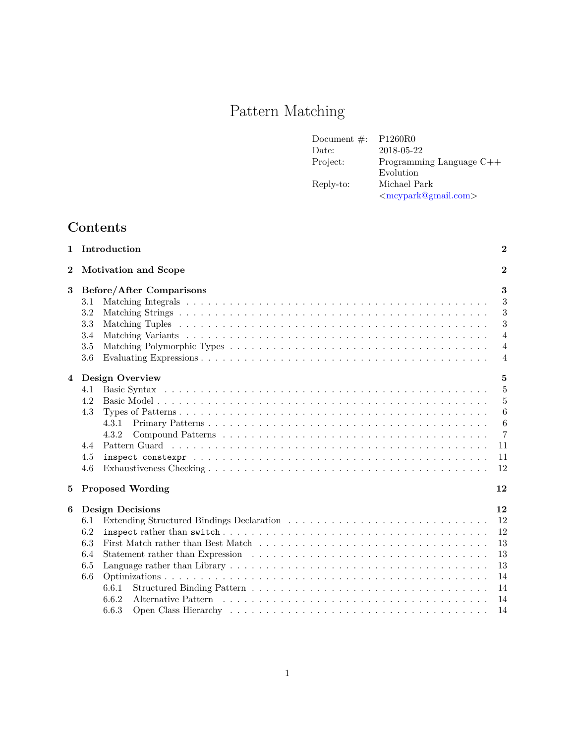# Pattern Matching

| Document $\#$ : | P <sub>1260R0</sub>                   |
|-----------------|---------------------------------------|
| Date:           | 2018-05-22                            |
| Project:        | Programming Language $C++$            |
|                 | Evolution                             |
| Reply-to:       | Michael Park                          |
|                 | $\langle$ mcypark@gmail.com $\rangle$ |

## **Contents**

| $\bf{2}$<br><b>Motivation and Scope</b>                                                                                  | $\bf{2}$         |
|--------------------------------------------------------------------------------------------------------------------------|------------------|
|                                                                                                                          |                  |
| 3<br>Before/After Comparisons                                                                                            | $\bf{3}$         |
| 3.1                                                                                                                      | 3                |
| 3.2                                                                                                                      | 3                |
| 3.3                                                                                                                      | 3                |
| 3.4                                                                                                                      | $\overline{4}$   |
| 3.5                                                                                                                      | $\overline{4}$   |
| 3.6                                                                                                                      | 4                |
| <b>Design Overview</b><br>4                                                                                              | $\mathbf{5}$     |
| 4.1                                                                                                                      | $\overline{5}$   |
| 4.2                                                                                                                      | 5                |
| 4.3                                                                                                                      | 6                |
| 4.3.1                                                                                                                    | $\boldsymbol{6}$ |
| 4.3.2                                                                                                                    | $\overline{7}$   |
| 4.4                                                                                                                      | 11               |
| 4.5                                                                                                                      | 11               |
| 4.6                                                                                                                      | 12               |
| <b>Proposed Wording</b><br>5                                                                                             | 12               |
| <b>Design Decisions</b><br>6                                                                                             | 12               |
| Extending Structured Bindings Declaration $\ldots \ldots \ldots \ldots \ldots \ldots \ldots \ldots \ldots \ldots$<br>6.1 | 12               |
| 6.2                                                                                                                      | 12               |
| 6.3                                                                                                                      | 13               |
| 6.4                                                                                                                      | 13               |
| 6.5                                                                                                                      | 13               |
| 6.6                                                                                                                      | 14               |
| 6.6.1                                                                                                                    | 14               |
| 6.6.2                                                                                                                    | 14               |
| 6.6.3                                                                                                                    | 14               |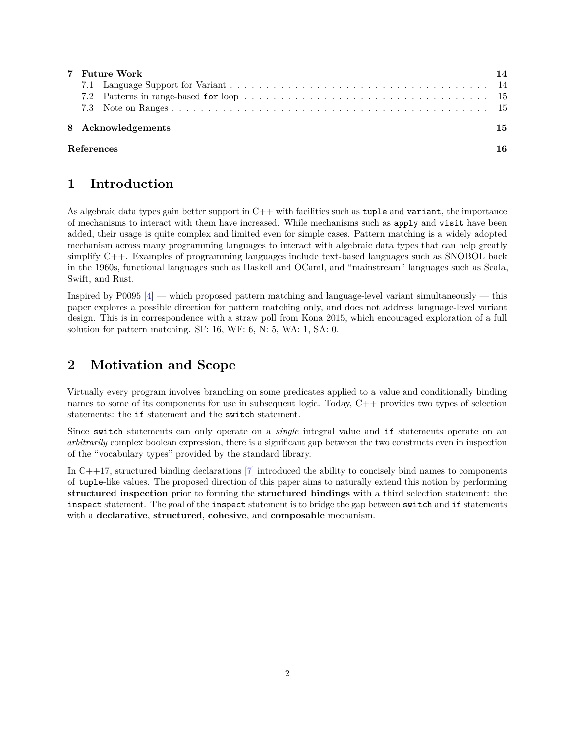| 7 Future Work      | 14 |
|--------------------|----|
|                    |    |
|                    |    |
|                    |    |
| 8 Acknowledgements | 15 |
| <b>References</b>  | 16 |

### <span id="page-1-0"></span>**1 Introduction**

As algebraic data types gain better support in  $C++$  with facilities such as tuple and variant, the importance of mechanisms to interact with them have increased. While mechanisms such as apply and visit have been added, their usage is quite complex and limited even for simple cases. Pattern matching is a widely adopted mechanism across many programming languages to interact with algebraic data types that can help greatly simplify C++. Examples of programming languages include text-based languages such as SNOBOL back in the 1960s, functional languages such as Haskell and OCaml, and "mainstream" languages such as Scala, Swift, and Rust.

Inspired by  $P0095$  [\[4\]](#page-15-1) — which proposed pattern matching and language-level variant simultaneously — this paper explores a possible direction for pattern matching only, and does not address language-level variant design. This is in correspondence with a straw poll from Kona 2015, which encouraged exploration of a full solution for pattern matching. SF: 16, WF: 6, N: 5, WA: 1, SA: 0.

### <span id="page-1-1"></span>**2 Motivation and Scope**

Virtually every program involves branching on some predicates applied to a value and conditionally binding names to some of its components for use in subsequent logic. Today, C++ provides two types of selection statements: the if statement and the switch statement.

Since switch statements can only operate on a *single* integral value and if statements operate on an *arbitrarily* complex boolean expression, there is a significant gap between the two constructs even in inspection of the "vocabulary types" provided by the standard library.

In C++17, structured binding declarations [\[7\]](#page-15-2) introduced the ability to concisely bind names to components of tuple-like values. The proposed direction of this paper aims to naturally extend this notion by performing **structured inspection** prior to forming the **structured bindings** with a third selection statement: the inspect statement. The goal of the inspect statement is to bridge the gap between switch and if statements with a **declarative**, **structured**, **cohesive**, and **composable** mechanism.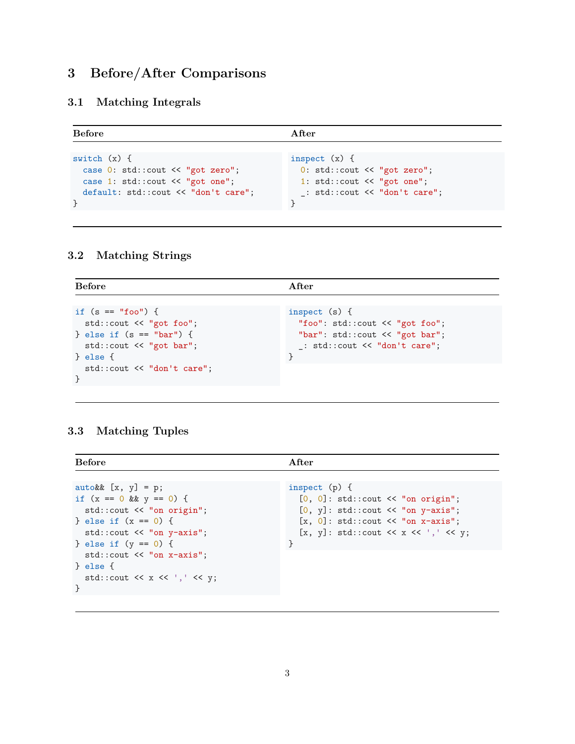# <span id="page-2-0"></span>**3 Before/After Comparisons**

### <span id="page-2-1"></span>**3.1 Matching Integrals**

| <b>Before</b>                        | After                                   |
|--------------------------------------|-----------------------------------------|
|                                      |                                         |
| switch $(x)$ {                       | inspect $(x)$ {                         |
| case $0: std::count << "got zero";$  | 0: std::count << "got zero";            |
| case 1: $std::count \leq "got one";$ | 1: $std::count \leq \text{ "got one";}$ |
| default: std::cout << "don't care";  | : std::cut << "don't care";             |
|                                      |                                         |

### <span id="page-2-2"></span>**3.2 Matching Strings**

| <b>Before</b>                                                                                                                 | After                                                                                                                |
|-------------------------------------------------------------------------------------------------------------------------------|----------------------------------------------------------------------------------------------------------------------|
|                                                                                                                               |                                                                                                                      |
| if $(s == "foo")$ {<br>$std::count \leq "got foo";$<br>} else if $(s == "bar")$ {<br>$std::count \leq "got bar";$<br>P else f | inspect $(s)$ {<br>"foo": std::cout << "got foo";<br>"bar": std::cout << "got bar";<br>: std::count << "don't care"; |
| $std::count \leq "don't care":$                                                                                               |                                                                                                                      |

### <span id="page-2-3"></span>**3.3 Matching Tuples**

| <b>Before</b>                                                                                                                                                            | After                                                                                                                                                                                                |
|--------------------------------------------------------------------------------------------------------------------------------------------------------------------------|------------------------------------------------------------------------------------------------------------------------------------------------------------------------------------------------------|
|                                                                                                                                                                          |                                                                                                                                                                                                      |
| $autokk [x, y] = p;$<br>if $(x == 0 \& x = 0)$ {<br>$std::count \leq "on origin";$<br>} else if $(x == 0)$ {<br>$std::count \leq "on y-axis";$<br>} else if $(y == 0)$ { | inspect $(p)$ {<br>$[0, 0]$ : std::cout << "on origin";<br>$[0, y]$ : std::cout $\lt\lt$ "on y-axis";<br>$[x, 0]$ : std::cout $\lt\lt$ "on x-axis";<br>$[x, y]: std::count \iff x \iff ', ' \iff y;$ |
| $std::count \leq "on x-axis";$<br>P else f<br>std::cout $\lt\lt x \lt'$ ',' $\lt\lt y$ ;<br>$\mathcal{F}$                                                                |                                                                                                                                                                                                      |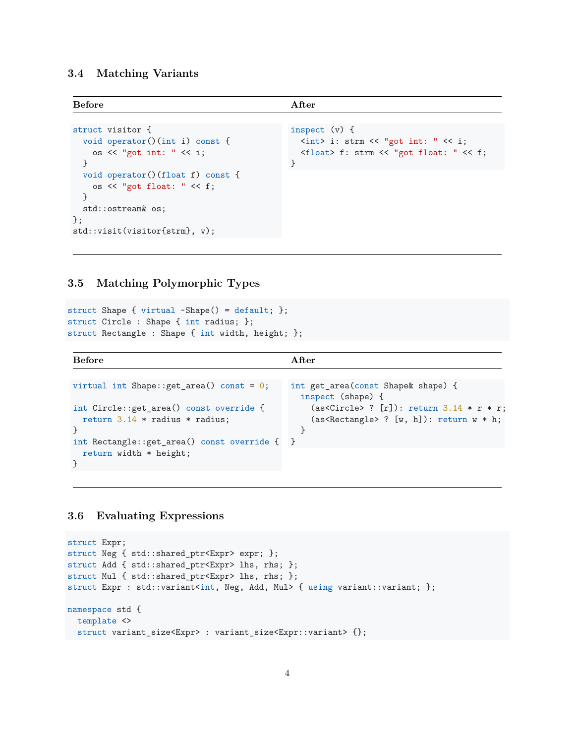#### <span id="page-3-0"></span>**3.4 Matching Variants**

| <b>Before</b>                                                                                     | After                                                                                                                                                                                              |
|---------------------------------------------------------------------------------------------------|----------------------------------------------------------------------------------------------------------------------------------------------------------------------------------------------------|
|                                                                                                   |                                                                                                                                                                                                    |
| struct visitor {<br>void operator() $(int i)$ const {<br>os $\lt\lt$ "got int: " $\lt\lt$ i;<br>Υ | inspect $(v)$ {<br>$\langle \text{int} \rangle$ i: strm $\langle \langle \psi \rangle$ "got int: " $\langle \langle \psi \rangle$ i;<br><float> f: strm &lt;&lt; "got float: " &lt;&lt; f;</float> |
| void operator()(float f) const {<br>os $\lt\lt$ "got float: " $\lt\lt f$ ;<br>std::ostream& os;   |                                                                                                                                                                                                    |
| $\}$ ;<br>$std::visit(visitor{strm}, v);$                                                         |                                                                                                                                                                                                    |

#### <span id="page-3-1"></span>**3.5 Matching Polymorphic Types**

```
struct Shape { virtual ~Shape() = default; };
struct Circle : Shape { int radius; };
struct Rectangle : Shape { int width, height; };
```

```
Before After
virtual int Shape::get_area() const = 0;int Circle::get_area() const override {
 return 3.14 * radius * radius;
}
int Rectangle::get_area() const override {
 return width * height;
}
                                         int get_area(const Shape& shape) {
                                           inspect (shape) {
                                             (as<Circle> ? [r]): return 3.14 * r * r;
                                             (as <b>Rectangle</b> ? [w, h]): return w * h;}
                                        }
```
#### <span id="page-3-2"></span>**3.6 Evaluating Expressions**

```
struct Expr;
struct Neg { std::shared_ptr<Expr> expr; };
struct Add { std::shared_ptr<Expr> lhs, rhs; };
struct Mul { std::shared_ptr<Expr> lhs, rhs; };
struct Expr : std::variant<int, Neg, Add, Mul> { using variant::variant; };
namespace std {
 template <>
 struct variant_size<Expr> : variant_size<Expr::variant> {};
```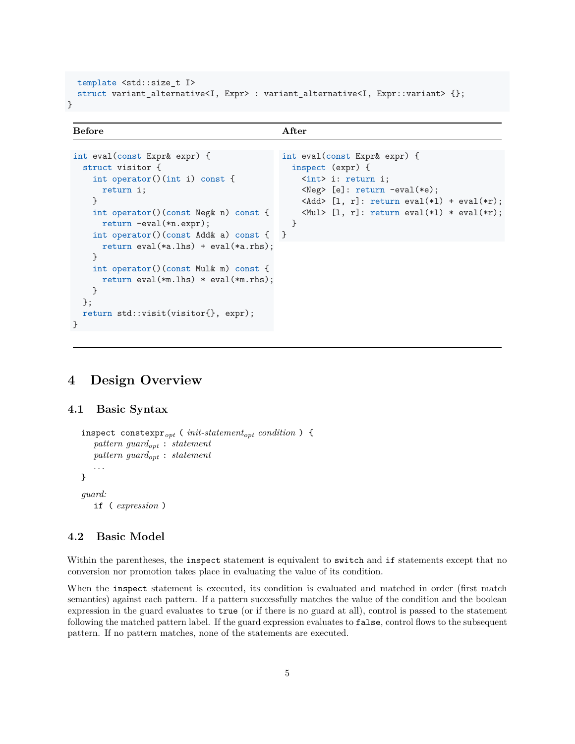```
template <std::size_t I>
  struct variant_alternative<I, Expr> : variant_alternative<I, Expr::variant> {};
}
```
#### **Before** After

```
int eval(const Expr& expr) {
  struct visitor {
    int operator()(int i) const {
      return i;
    }
    int operator()(const Neg& n) const {
      return -eval(*n.expr);
    int operator()(const Add& a) const {
      return eval(*a.lhs) + eval(*a.rhs);
    }
    int operator()(const Mul& m) const {
      return eval(*m.lhs) * eval(*m.rhs);
    }
  };
  return std::visit(visitor{}, expr);
}
                                                int eval(const Expr& expr) {
                                                  inspect (expr) {
                                                    <int> i: return i;
                                                    <Neg> [e]: return -eval(*e);
                                                    \langle \text{Add} \rangle [1, r]: return eval(\ast 1) + eval(\ast r);
                                                    \langle \text{Mul} \rangle [1, r]: return eval(*1) * eval(*r);
                                                  }
                                                }
```
### <span id="page-4-0"></span>**4 Design Overview**

#### <span id="page-4-1"></span>**4.1 Basic Syntax**

```
inspect constexpropt ( init-statementopt condition ) {
   pattern guardopt : statement
   pattern guardopt : statement
   . . .
}
guard:
   if ( expression )
```
#### <span id="page-4-2"></span>**4.2 Basic Model**

Within the parentheses, the inspect statement is equivalent to switch and if statements except that no conversion nor promotion takes place in evaluating the value of its condition.

When the inspect statement is executed, its condition is evaluated and matched in order (first match semantics) against each pattern. If a pattern successfully matches the value of the condition and the boolean expression in the guard evaluates to true (or if there is no guard at all), control is passed to the statement following the matched pattern label. If the guard expression evaluates to false, control flows to the subsequent pattern. If no pattern matches, none of the statements are executed.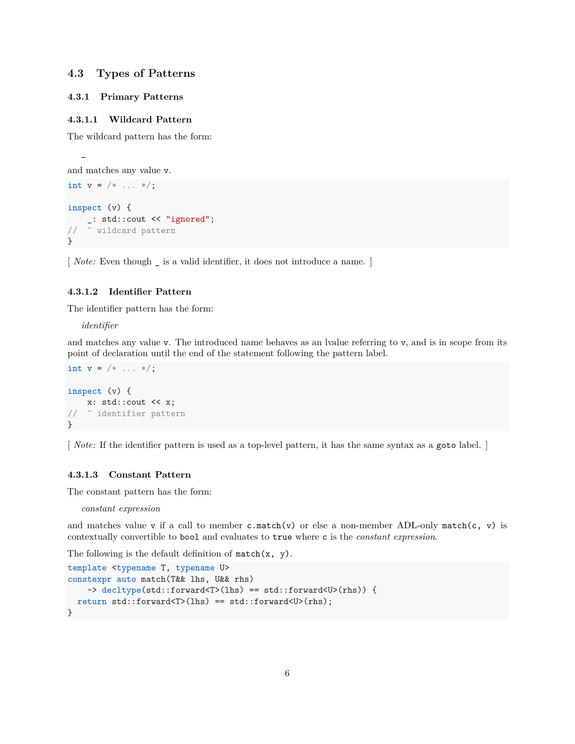#### <span id="page-5-0"></span>**4.3 Types of Patterns**

#### <span id="page-5-1"></span>**4.3.1 Primary Patterns**

#### **4.3.1.1 Wildcard Pattern**

The wildcard pattern has the form:

```
and matches any value v.
int v = / * ... * /;inspect (v) {
    _: std::cout << "ignored";
// ^ wildcard pattern
}
```
[*Note:* Even though \_ is a valid identifier, it does not introduce a name. ]

#### **4.3.1.2 Identifier Pattern**

The identifier pattern has the form:

*identifier*

\_

and matches any value v. The introduced name behaves as an lvalue referring to v, and is in scope from its point of declaration until the end of the statement following the pattern label.

```
int v = / * ... * /;
inspect (v) {
    x: std::cout << x;
// ^ identifier pattern
}
```
[ *Note:* If the identifier pattern is used as a top-level pattern, it has the same syntax as a goto label. ]

#### **4.3.1.3 Constant Pattern**

The constant pattern has the form:

*constant expression*

and matches value v if a call to member  $c.\texttt{match}(v)$  or else a non-member ADL-only match(c, v) is contextually convertible to bool and evaluates to true where c is the *constant expression*.

The following is the default definition of  $match(x, y)$ .

```
template <typename T, typename U>
constexpr auto match(T&& lhs, U&& rhs)
    -> decltype(std::forward<T>(lhs) == std::forward<U>(rhs)) {
  return std::forward<T>(lhs) == std::forward<U>(rhs);
}
```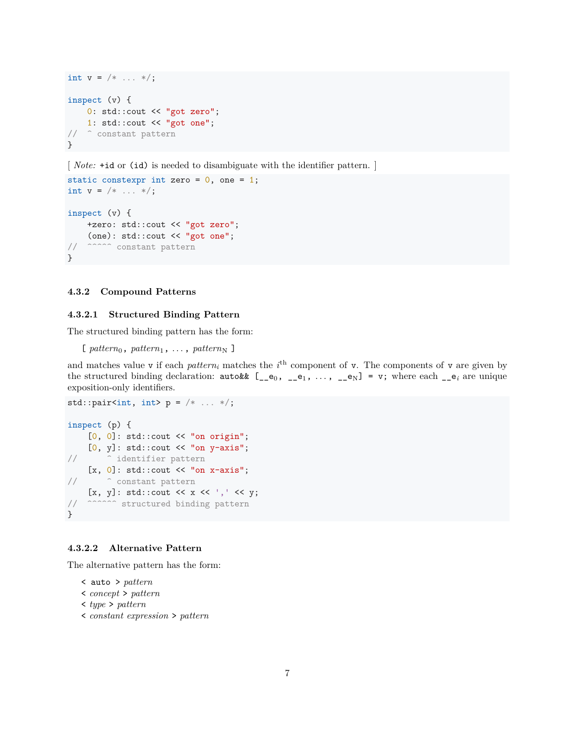```
int v = \frac{*}{*} ... */;inspect (v) {
   0: std::cout << "got zero";
    1: std::cout << "got one";
// ^ constant pattern
}
```
[*Note:* +id or (id) is needed to disambiguate with the identifier pattern. ]

```
static constexpr int zero = 0, one = 1;
int v = \frac{*}{*} ... */;inspect (v) {
    +zero: std::cout << "got zero";
    (one): std::cout << "got one";
// ^^^^^ constant pattern
}
```
#### <span id="page-6-0"></span>**4.3.2 Compound Patterns**

#### **4.3.2.1 Structured Binding Pattern**

The structured binding pattern has the form:

```
\lbrack pattern<sub>0</sub>, pattern<sub>1</sub>, ..., pattern<sub>N</sub> ]
```
and matches value v if each *pattern*<sub>*i*</sub> matches the  $i<sup>th</sup>$  component of v. The components of v are given by the structured binding declaration:  $\text{autokk}$   $[\_\_e_0, \_\_e_1, \ldots, \_\_e_N] = \text{v}$ ; where each  $\_\_e_i$  are unique exposition-only identifiers.

```
std::pair<int, int> p = /* ... */;
inspect (p) {
    [0, 0]: std:: cout << "on origin";
    [0, y]: std::cout << "on y-axis";
// ^ identifier pattern
    [x, 0]: std::cout << "on x-axis";
// ^ constant pattern
    [x, y]: std::cout << x << ',' << y;
// ^^^^^^ structured binding pattern
}
```
#### **4.3.2.2 Alternative Pattern**

The alternative pattern has the form:

```
< auto > pattern
```
- < *concept* > *pattern*
- < *type* > *pattern*
- < *constant expression* > *pattern*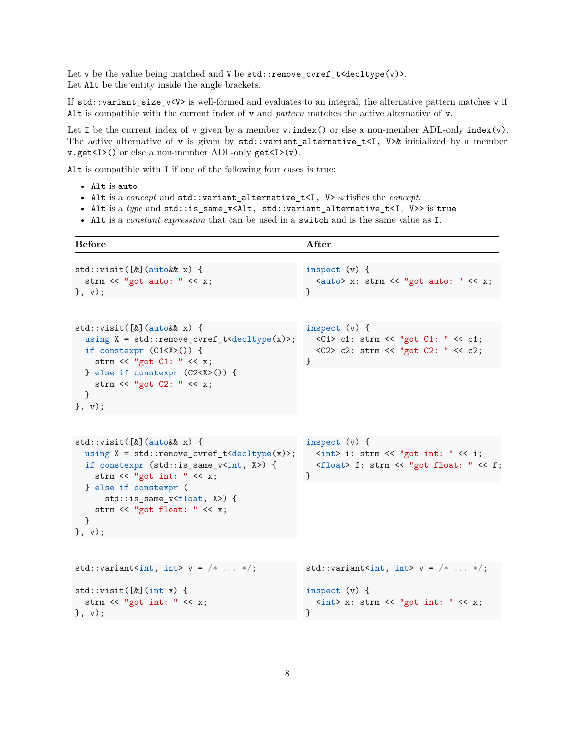Let v be the value being matched and V be  $std::remove\_cvref_t <$ decltype $(v)$ >. Let Alt be the entity inside the angle brackets.

If std::variant\_size\_v<V> is well-formed and evaluates to an integral, the alternative pattern matches v if Alt is compatible with the current index of v and *pattern* matches the active alternative of v.

Let I be the current index of v given by a member  $v$ . index() or else a non-member ADL-only index(v). The active alternative of v is given by  $std::variant_alternative_t < I$ ,  $V\&$  initialized by a member v.get<I>() or else a non-member ADL-only get<I>(v).

Alt is compatible with I if one of the following four cases is true:

- Alt is auto
- Alt is a *concept* and std::variant\_alternative\_t<I, V> satisfies the *concept*.
- Alt is a *type* and std::is\_same\_v<Alt, std::variant\_alternative\_t<I, V>> is true
- Alt is a *constant expression* that can be used in a switch and is the same value as I.

| <b>Before</b>                                                                                                                                                                                                                                                                                                                           | After                                                                                                                                         |
|-----------------------------------------------------------------------------------------------------------------------------------------------------------------------------------------------------------------------------------------------------------------------------------------------------------------------------------------|-----------------------------------------------------------------------------------------------------------------------------------------------|
| $std::visit([k](autokk x) { )$<br>strm $<<$ "got auto: " $<< x;$<br>$\}$ , v);                                                                                                                                                                                                                                                          | inspect $(v)$ {<br><auto> x: strm &lt;&lt; "got auto: " &lt;&lt; x;<br/>}</auto>                                                              |
| $std::visit([k](autokk x) { )$<br>using $X = std::remove\_cvref_t < deck>(x)>;$<br>if constexpr $(C1< X>)( )$ {<br>strm << "got $C1:$ " << x;<br>} else if constexpr $(C2 < X>)( )$ {<br>strm << "got $C2$ : " << x;<br>ł<br>$\}$ , $\mathbf{v}$ );                                                                                     | inspect $(v)$ {<br><c1> c1: strm &lt;&lt; "got C1: " &lt;&lt; c1;<br/><c2> c2: strm &lt;&lt; "got C2: " &lt;&lt; c2;<br/>}</c2></c1>          |
|                                                                                                                                                                                                                                                                                                                                         |                                                                                                                                               |
| $std::visit([k](autokk x) { )$<br>using $X = std::remove\_cvref_t < deck>(x)>;$<br>if constexpr $(std::is\_same_v )$ {<br>strm $<<$ "got int: " $<<$ x;<br>} else if constexpr (<br>std::is_same_v <float, x="">) {<br/>strm &lt;&lt; "got float: " &lt;&lt; <math>x</math>;<br/>ł<br/><math>\}</math>, <math>\forall</math>);</float,> | inspect $(v)$ {<br>$\langle$ int> i: strm << "got int: " << i;<br><float> f: strm &lt;&lt; "got float: " &lt;&lt; f;<br/>}</float>            |
|                                                                                                                                                                                                                                                                                                                                         |                                                                                                                                               |
| std::variant <int, int=""> <math>v = \frac{*}{*}  *</math>;</int,>                                                                                                                                                                                                                                                                      | std::variant <int, int=""> <math>v = \frac{*}{*}  *</math>;</int,>                                                                            |
| $std::visit([k](int x) { )}$<br>strm $<<$ "got int: " $<<$ x;<br>$\}$ , $\mathbf{v}$ );                                                                                                                                                                                                                                                 | inspect $(v)$ {<br>$\langle \text{int} \rangle$ x: strm $\langle \langle \text{''got int}: \text{''} \langle \langle x, \rangle \rangle$<br>} |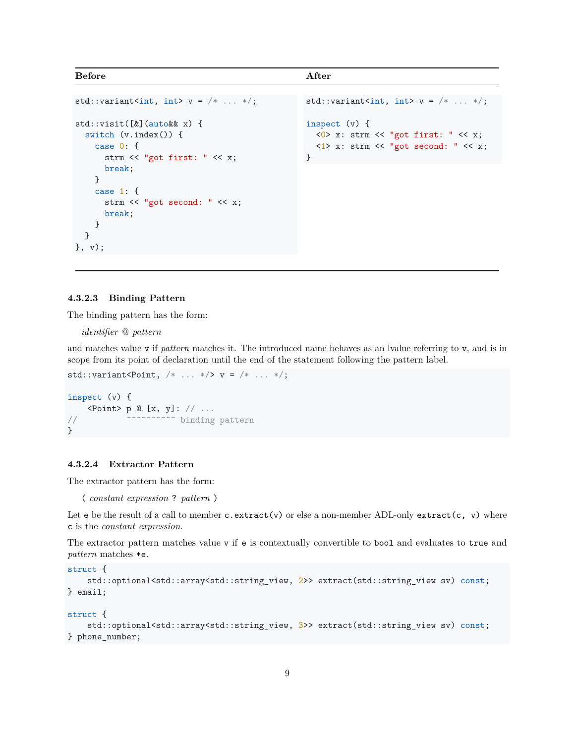```
Before After
```

```
std::variant<int, int> v = \frac{*}{*} ... *;
std::visit([&](auto&& x) {
   switch (v.index()) {
     case 0: {
        strm << "got first: " << x;
        break;
     }
     case 1: {
        strm << "got second: " << x;
        break;
     }
  }
}, v);
                                                                 std::variant<int, int> v = \frac{*}{*}... */;inspect (v) {
                                                                    \langle 0 \rangle x: strm \langle 0 \rangle "got first: " \langle 0 \rangle x;
                                                                    \langle 1 \rangle x: strm \langle \langle "got second: "\langle \langle x \rangle \rangle}
```
#### **4.3.2.3 Binding Pattern**

The binding pattern has the form:

*identifier* @ *pattern*

and matches value v if *pattern* matches it. The introduced name behaves as an lvalue referring to v, and is in scope from its point of declaration until the end of the statement following the pattern label.

std::variant<Point,  $/* ... * / > v = / * ... * /;$ 

```
inspect (v) {
    \langle Point \rangle p \mathbb{Q} [x, y]: // ...
// \sim ^^^^^^^^^^^^ binding pattern
}
```
#### **4.3.2.4 Extractor Pattern**

The extractor pattern has the form:

( *constant expression* ? *pattern* )

Let  $e$  be the result of a call to member c.extract(v) or else a non-member ADL-only extract(c, v) where c is the *constant expression*.

The extractor pattern matches value v if e is contextually convertible to bool and evaluates to true and *pattern* matches \*e.

```
struct {
   std::optional<std::array<std::string_view, 2>> extract(std::string_view sv) const;
} email;
```

```
struct {
```

```
std::optional<std::array<std::string_view, 3>> extract(std::string_view sv) const;
} phone_number;
```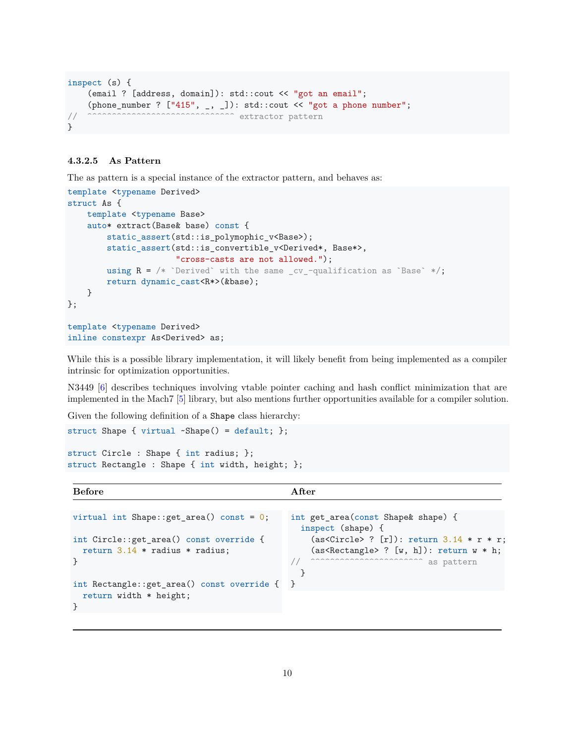```
inspect (s) {
    (email ? [address, domain]): std::cout << "got an email";
    (phone_number ? ["415", _, _]): std::cout << "got a phone number";
// ^^^^^^^^^^^^^^^^^^^^^^^^^^^^^^ extractor pattern
}
```
#### **4.3.2.5 As Pattern**

The as pattern is a special instance of the extractor pattern, and behaves as:

```
template <typename Derived>
struct As {
    template <typename Base>
    auto* extract(Base& base) const {
        static_assert(std::is_polymophic_v<Base>);
        static_assert(std::is_convertible_v<Derived*, Base*>,
                      "cross-casts are not allowed.");
        using R = \sqrt{*} `Derived` with the same cv-qualification as `Base` */;return dynamic_cast<R*>(&base);
    }
};
template <typename Derived>
inline constexpr As<Derived> as;
```
While this is a possible library implementation, it will likely benefit from being implemented as a compiler intrinsic for optimization opportunities.

N3449 [\[6\]](#page-15-3) describes techniques involving vtable pointer caching and hash conflict minimization that are implemented in the Mach7 [\[5\]](#page-15-4) library, but also mentions further opportunities available for a compiler solution.

Given the following definition of a Shape class hierarchy:

```
struct Shape { virtual ~Shape() = default; };
struct Circle : Shape { int radius; };
struct Rectangle : Shape { int width, height; };
```

| <b>Before</b>                                | A fter                                      |
|----------------------------------------------|---------------------------------------------|
|                                              |                                             |
| virtual int Shape:: get area() const = $0$ ; | int get area (const Shape & shape) {        |
|                                              | inspect (shape) {                           |
| int Circle::get_area() const override {      | $(as Circle > ? [r]): return 3.14 * r * r;$ |
| return $3.14$ * radius * radius;             | $(as Rectangle ? [w, h]): return w * h;$    |
|                                              | as pattern                                  |
|                                              |                                             |
| int Rectangle::get_area() const override { } |                                             |
| return width $*$ height;                     |                                             |
|                                              |                                             |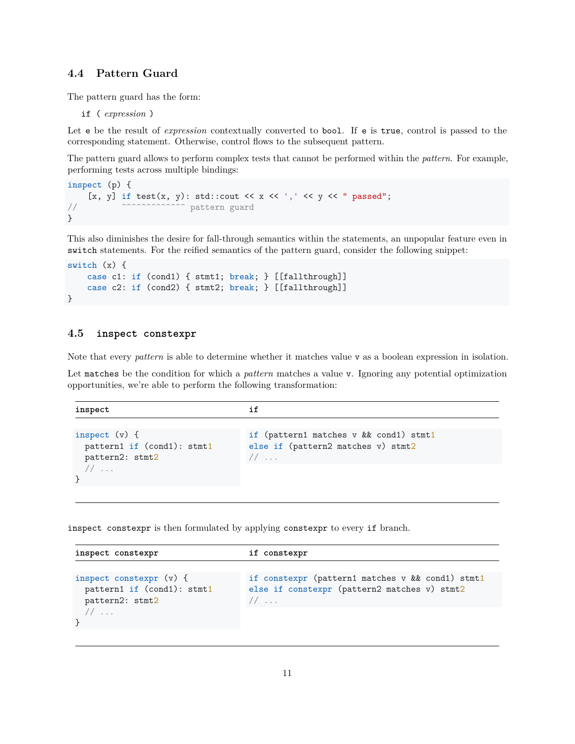#### <span id="page-10-0"></span>**4.4 Pattern Guard**

The pattern guard has the form:

if ( *expression* )

Let e be the result of *expression* contextually converted to **bool**. If e is true, control is passed to the corresponding statement. Otherwise, control flows to the subsequent pattern.

The pattern guard allows to perform complex tests that cannot be performed within the *pattern*. For example, performing tests across multiple bindings:

```
inspect (p) {
    [x, y] if test(x, y): std::cout << x << ',' << y << " passed";
                         pattern guard
}
```
This also diminishes the desire for fall-through semantics within the statements, an unpopular feature even in switch statements. For the reified semantics of the pattern guard, consider the following snippet:

```
switch (x) {
   case c1: if (cond1) { stmt1; break; } [[fallthrough]]
    case c2: if (cond2) { stmt2; break; } [[fallthrough]]
}
```
#### <span id="page-10-1"></span>**4.5 inspect constexpr**

Note that every *pattern* is able to determine whether it matches value v as a boolean expression in isolation.

Let matches be the condition for which a *pattern* matches a value v. Ignoring any potential optimization opportunities, we're able to perform the following transformation:

| inspect                                                          | if                                                                                   |
|------------------------------------------------------------------|--------------------------------------------------------------------------------------|
| inspect $(v)$ {<br>pattern1 if (cond1): stmt1<br>pattern2: stmt2 | if (pattern1 matches v && cond1) stmt1<br>else if (pattern2 matches v) stmt2<br>$1/$ |
| $\overline{\phantom{a}}$                                         |                                                                                      |

inspect constexpr is then formulated by applying constexpr to every if branch.

```
inspect constexpr if constexpr
inspect constexpr (v) {
 pattern1 if (cond1): stmt1
 pattern2: stmt2
  // ...
}
                                 if constexpr (pattern1 matches v && cond1) stmt1
                                 else if constexpr (pattern2 matches v) stmt2
                                 // ...
```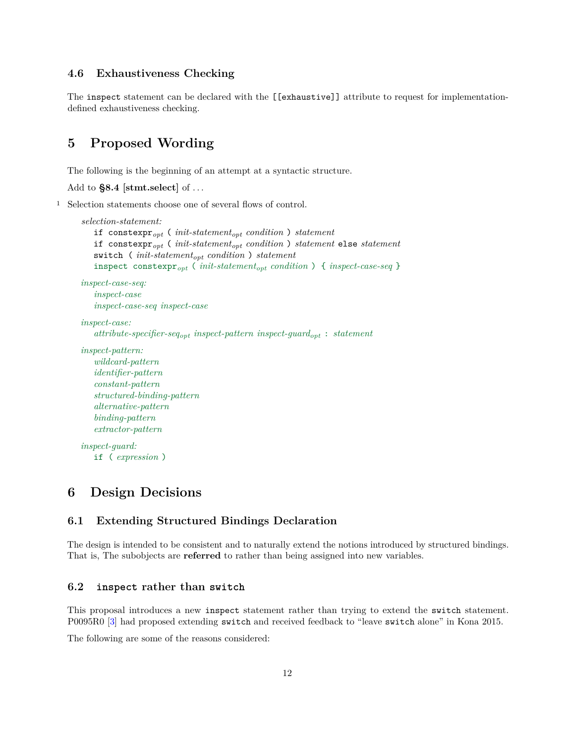#### <span id="page-11-0"></span>**4.6 Exhaustiveness Checking**

The inspect statement can be declared with the [[exhaustive]] attribute to request for implementationdefined exhaustiveness checking.

### <span id="page-11-1"></span>**5 Proposed Wording**

The following is the beginning of an attempt at a syntactic structure.

Add to **§8.4 [stmt.select]** of . . .

<sup>1</sup> Selection statements choose one of several flows of control.

```
selection-statement:
   if constexpropt ( init-statementopt condition ) statement
   if constexpropt ( init-statementopt condition ) statement else statement
   switch ( init-statementopt condition ) statement
   inspect constexpropt ( init-statementopt condition ) { inspect-case-seq }
inspect-case-seq:
   inspect-case
   inspect-case-seq inspect-case
inspect-case:
   attribute-specifier-seqopt inspect-pattern inspect-guardopt : statement
inspect-pattern:
   wildcard-pattern
   identifier-pattern
   constant-pattern
   structured-binding-pattern
   alternative-pattern
   binding-pattern
   extractor-pattern
inspect-guard:
   if ( expression )
```
### <span id="page-11-2"></span>**6 Design Decisions**

#### <span id="page-11-3"></span>**6.1 Extending Structured Bindings Declaration**

The design is intended to be consistent and to naturally extend the notions introduced by structured bindings. That is, The subobjects are **referred** to rather than being assigned into new variables.

#### <span id="page-11-4"></span>**6.2 inspect rather than switch**

This proposal introduces a new inspect statement rather than trying to extend the switch statement. P0095R0 [\[3\]](#page-15-5) had proposed extending switch and received feedback to "leave switch alone" in Kona 2015.

The following are some of the reasons considered: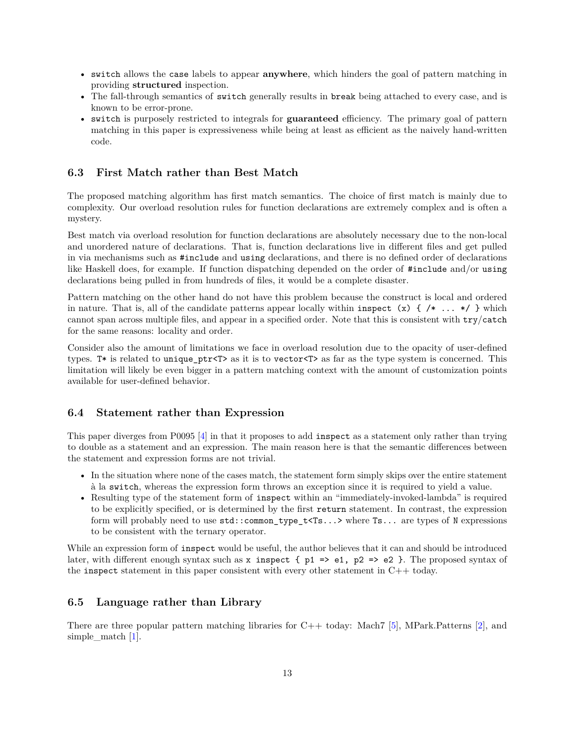- switch allows the case labels to appear **anywhere**, which hinders the goal of pattern matching in providing **structured** inspection.
- The fall-through semantics of switch generally results in break being attached to every case, and is known to be error-prone.
- switch is purposely restricted to integrals for **guaranteed** efficiency. The primary goal of pattern matching in this paper is expressiveness while being at least as efficient as the naively hand-written code.

#### <span id="page-12-0"></span>**6.3 First Match rather than Best Match**

The proposed matching algorithm has first match semantics. The choice of first match is mainly due to complexity. Our overload resolution rules for function declarations are extremely complex and is often a mystery.

Best match via overload resolution for function declarations are absolutely necessary due to the non-local and unordered nature of declarations. That is, function declarations live in different files and get pulled in via mechanisms such as #include and using declarations, and there is no defined order of declarations like Haskell does, for example. If function dispatching depended on the order of #include and/or using declarations being pulled in from hundreds of files, it would be a complete disaster.

Pattern matching on the other hand do not have this problem because the construct is local and ordered in nature. That is, all of the candidate patterns appear locally within inspect  $(x) \{ / * \ldots * / \}$  which cannot span across multiple files, and appear in a specified order. Note that this is consistent with try/catch for the same reasons: locality and order.

Consider also the amount of limitations we face in overload resolution due to the opacity of user-defined types. T\* is related to unique\_ptr<T> as it is to vector<T> as far as the type system is concerned. This limitation will likely be even bigger in a pattern matching context with the amount of customization points available for user-defined behavior.

#### <span id="page-12-1"></span>**6.4 Statement rather than Expression**

This paper diverges from P0095 [\[4\]](#page-15-1) in that it proposes to add inspect as a statement only rather than trying to double as a statement and an expression. The main reason here is that the semantic differences between the statement and expression forms are not trivial.

- In the situation where none of the cases match, the statement form simply skips over the entire statement à la switch, whereas the expression form throws an exception since it is required to yield a value.
- Resulting type of the statement form of inspect within an "immediately-invoked-lambda" is required to be explicitly specified, or is determined by the first return statement. In contrast, the expression form will probably need to use std::common\_type\_t<Ts...> where Ts... are types of N expressions to be consistent with the ternary operator.

While an expression form of inspect would be useful, the author believes that it can and should be introduced later, with different enough syntax such as x inspect  $\{p1 \Rightarrow e1, p2 \Rightarrow e2\}$ . The proposed syntax of the inspect statement in this paper consistent with every other statement in  $C++$  today.

#### <span id="page-12-2"></span>**6.5 Language rather than Library**

There are three popular pattern matching libraries for C++ today: Mach7 [\[5\]](#page-15-4), MPark.Patterns [\[2\]](#page-15-6), and simple match [\[1\]](#page-15-7).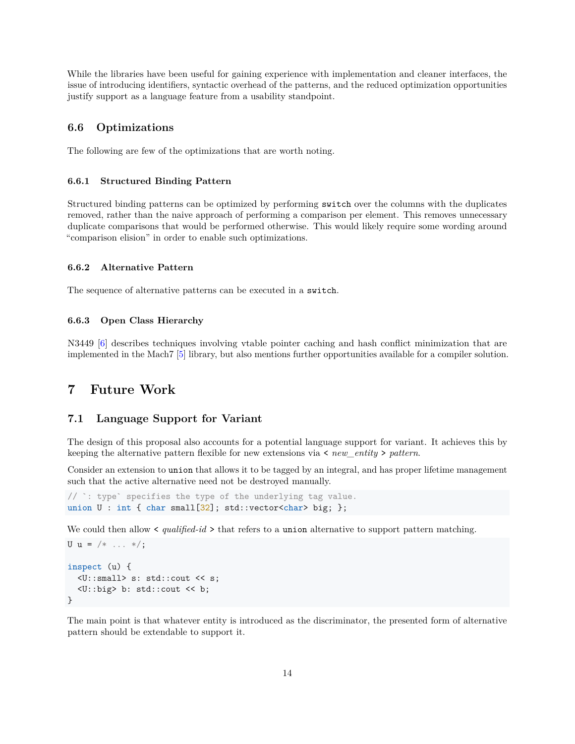While the libraries have been useful for gaining experience with implementation and cleaner interfaces, the issue of introducing identifiers, syntactic overhead of the patterns, and the reduced optimization opportunities justify support as a language feature from a usability standpoint.

#### <span id="page-13-0"></span>**6.6 Optimizations**

The following are few of the optimizations that are worth noting.

#### <span id="page-13-1"></span>**6.6.1 Structured Binding Pattern**

Structured binding patterns can be optimized by performing switch over the columns with the duplicates removed, rather than the naive approach of performing a comparison per element. This removes unnecessary duplicate comparisons that would be performed otherwise. This would likely require some wording around "comparison elision" in order to enable such optimizations.

#### <span id="page-13-2"></span>**6.6.2 Alternative Pattern**

The sequence of alternative patterns can be executed in a switch.

#### <span id="page-13-3"></span>**6.6.3 Open Class Hierarchy**

N3449 [\[6\]](#page-15-3) describes techniques involving vtable pointer caching and hash conflict minimization that are implemented in the Mach7 [\[5\]](#page-15-4) library, but also mentions further opportunities available for a compiler solution.

### <span id="page-13-4"></span>**7 Future Work**

#### <span id="page-13-5"></span>**7.1 Language Support for Variant**

The design of this proposal also accounts for a potential language support for variant. It achieves this by keeping the alternative pattern flexible for new extensions via < *new\_entity* > *pattern*.

Consider an extension to union that allows it to be tagged by an integral, and has proper lifetime management such that the active alternative need not be destroyed manually.

```
// `: type` specifies the type of the underlying tag value.
union U: int { char small[32]; std::vector<char> big; };
```
We could then allow  $\le$  *qualified-id*  $\ge$  that refers to a union alternative to support pattern matching.

```
U u = /* \ldots *;
inspect (u) {
  <U::small> s: std::cout << s;
  <U::big> b: std::cout << b;
}
```
The main point is that whatever entity is introduced as the discriminator, the presented form of alternative pattern should be extendable to support it.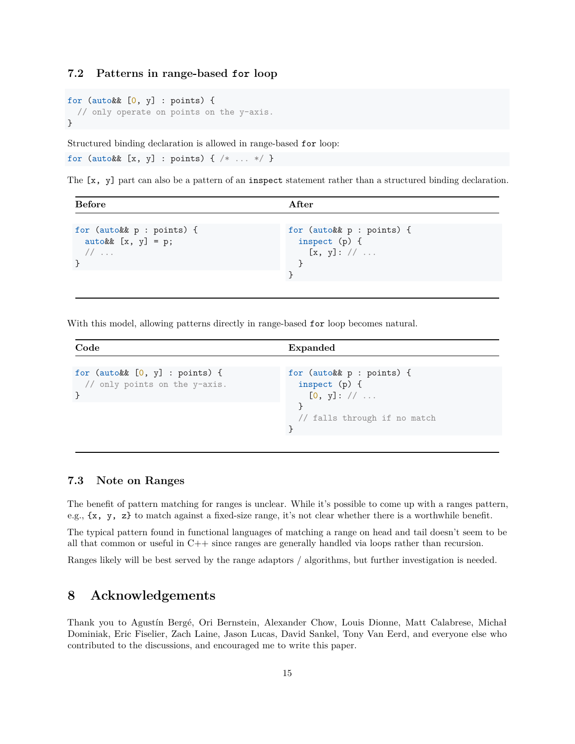#### <span id="page-14-0"></span>**7.2 Patterns in range-based for loop**

```
for (auto&& [0, y] : points) {
 // only operate on points on the y-axis.
}
```
Structured binding declaration is allowed in range-based for loop:

```
for (auto&& [x, y] : points) { /* ... */ }
```
The [x, y] part can also be a pattern of an inspect statement rather than a structured binding declaration.

| <b>Before</b>                                                      | After                                                      |  |
|--------------------------------------------------------------------|------------------------------------------------------------|--|
| for (auto&& p : points) {<br>auto&& $[x, y] = p;$<br>$\frac{1}{2}$ | for (auto&& p : points) {<br>inspect $(p)$ {<br>[x, y]: // |  |

With this model, allowing patterns directly in range-based for loop becomes natural.

```
Code Expanded
for (auto&& [0, y] : points) {
 // only points on the y-axis.
}
                                    for (auto&& p : points) {
                                     inspect (p) {
                                       [0, y]: // ...}
                                     // falls through if no match
                                    }
```
#### <span id="page-14-1"></span>**7.3 Note on Ranges**

The benefit of pattern matching for ranges is unclear. While it's possible to come up with a ranges pattern, e.g., {x, y, z} to match against a fixed-size range, it's not clear whether there is a worthwhile benefit.

The typical pattern found in functional languages of matching a range on head and tail doesn't seem to be all that common or useful in C++ since ranges are generally handled via loops rather than recursion.

Ranges likely will be best served by the range adaptors / algorithms, but further investigation is needed.

### <span id="page-14-2"></span>**8 Acknowledgements**

Thank you to Agustín Bergé, Ori Bernstein, Alexander Chow, Louis Dionne, Matt Calabrese, Michał Dominiak, Eric Fiselier, Zach Laine, Jason Lucas, David Sankel, Tony Van Eerd, and everyone else who contributed to the discussions, and encouraged me to write this paper.